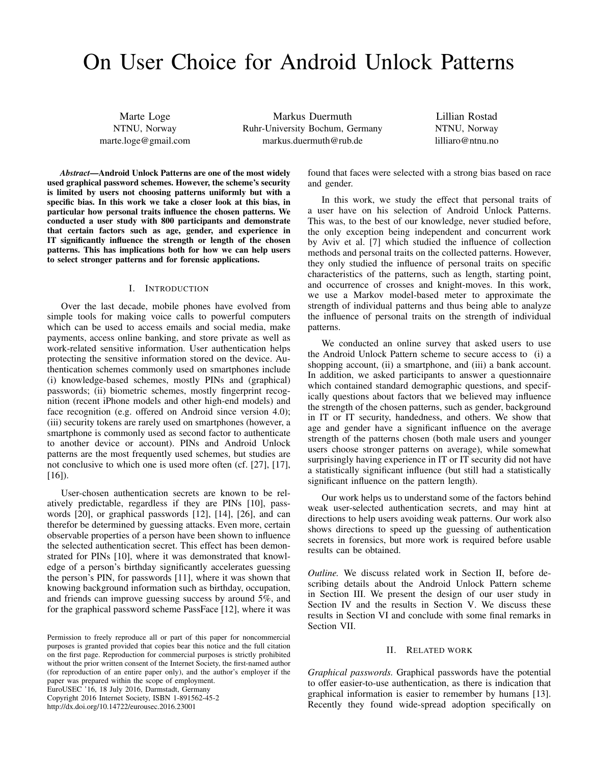# On User Choice for Android Unlock Patterns

Marte Loge NTNU, Norway marte.loge@gmail.com

Markus Duermuth Ruhr-University Bochum, Germany markus.duermuth@rub.de

Lillian Rostad NTNU, Norway lilliaro@ntnu.no

*Abstract*—Android Unlock Patterns are one of the most widely used graphical password schemes. However, the scheme's security is limited by users not choosing patterns uniformly but with a specific bias. In this work we take a closer look at this bias, in particular how personal traits influence the chosen patterns. We conducted a user study with 800 participants and demonstrate that certain factors such as age, gender, and experience in IT significantly influence the strength or length of the chosen patterns. This has implications both for how we can help users to select stronger patterns and for forensic applications.

#### I. INTRODUCTION

Over the last decade, mobile phones have evolved from simple tools for making voice calls to powerful computers which can be used to access emails and social media, make payments, access online banking, and store private as well as work-related sensitive information. User authentication helps protecting the sensitive information stored on the device. Authentication schemes commonly used on smartphones include (i) knowledge-based schemes, mostly PINs and (graphical) passwords; (ii) biometric schemes, mostly fingerprint recognition (recent iPhone models and other high-end models) and face recognition (e.g. offered on Android since version 4.0); (iii) security tokens are rarely used on smartphones (however, a smartphone is commonly used as second factor to authenticate to another device or account). PINs and Android Unlock patterns are the most frequently used schemes, but studies are not conclusive to which one is used more often (cf. [27], [17],  $[16]$ ).

User-chosen authentication secrets are known to be relatively predictable, regardless if they are PINs [10], passwords [20], or graphical passwords [12], [14], [26], and can therefor be determined by guessing attacks. Even more, certain observable properties of a person have been shown to influence the selected authentication secret. This effect has been demonstrated for PINs [10], where it was demonstrated that knowledge of a person's birthday significantly accelerates guessing the person's PIN, for passwords [11], where it was shown that knowing background information such as birthday, occupation, and friends can improve guessing success by around 5%, and for the graphical password scheme PassFace [12], where it was

EuroUSEC '16, 18 July 2016, Darmstadt, Germany

Copyright 2016 Internet Society, ISBN 1-891562-45-2

http://dx.doi.org/10.14722/eurousec.2016.23001

found that faces were selected with a strong bias based on race and gender.

In this work, we study the effect that personal traits of a user have on his selection of Android Unlock Patterns. This was, to the best of our knowledge, never studied before, the only exception being independent and concurrent work by Aviv et al. [7] which studied the influence of collection methods and personal traits on the collected patterns. However, they only studied the influence of personal traits on specific characteristics of the patterns, such as length, starting point, and occurrence of crosses and knight-moves. In this work, we use a Markov model-based meter to approximate the strength of individual patterns and thus being able to analyze the influence of personal traits on the strength of individual patterns.

We conducted an online survey that asked users to use the Android Unlock Pattern scheme to secure access to (i) a shopping account, (ii) a smartphone, and (iii) a bank account. In addition, we asked participants to answer a questionnaire which contained standard demographic questions, and specifically questions about factors that we believed may influence the strength of the chosen patterns, such as gender, background in IT or IT security, handedness, and others. We show that age and gender have a significant influence on the average strength of the patterns chosen (both male users and younger users choose stronger patterns on average), while somewhat surprisingly having experience in IT or IT security did not have a statistically significant influence (but still had a statistically significant influence on the pattern length).

Our work helps us to understand some of the factors behind weak user-selected authentication secrets, and may hint at directions to help users avoiding weak patterns. Our work also shows directions to speed up the guessing of authentication secrets in forensics, but more work is required before usable results can be obtained.

*Outline.* We discuss related work in Section II, before describing details about the Android Unlock Pattern scheme in Section III. We present the design of our user study in Section IV and the results in Section V. We discuss these results in Section VI and conclude with some final remarks in Section VII.

# II. RELATED WORK

*Graphical passwords.* Graphical passwords have the potential to offer easier-to-use authentication, as there is indication that graphical information is easier to remember by humans [13]. Recently they found wide-spread adoption specifically on

Permission to freely reproduce all or part of this paper for noncommercial purposes is granted provided that copies bear this notice and the full citation on the first page. Reproduction for commercial purposes is strictly prohibited without the prior written consent of the Internet Society, the first-named author (for reproduction of an entire paper only), and the author's employer if the paper was prepared within the scope of employment.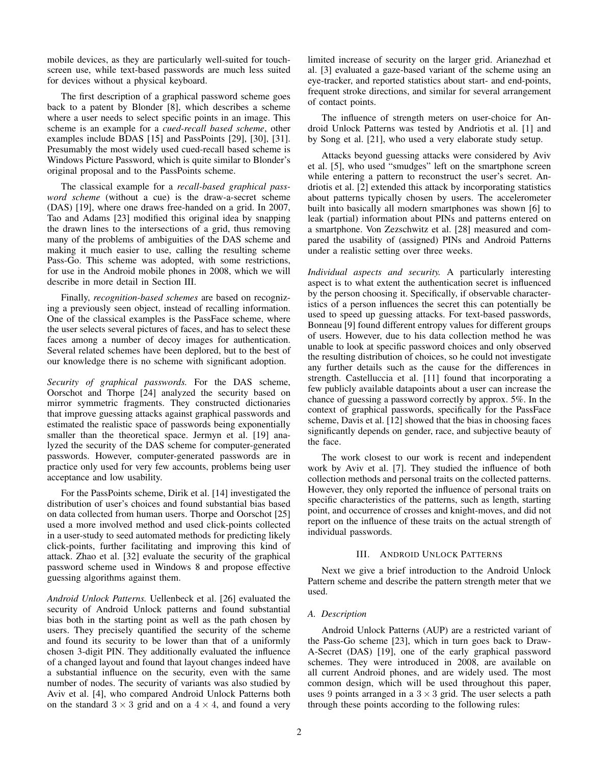mobile devices, as they are particularly well-suited for touchscreen use, while text-based passwords are much less suited for devices without a physical keyboard.

The first description of a graphical password scheme goes back to a patent by Blonder [8], which describes a scheme where a user needs to select specific points in an image. This scheme is an example for a *cued-recall based scheme*, other examples include BDAS [15] and PassPoints [29], [30], [31]. Presumably the most widely used cued-recall based scheme is Windows Picture Password, which is quite similar to Blonder's original proposal and to the PassPoints scheme.

The classical example for a *recall-based graphical password scheme* (without a cue) is the draw-a-secret scheme (DAS) [19], where one draws free-handed on a grid. In 2007, Tao and Adams [23] modified this original idea by snapping the drawn lines to the intersections of a grid, thus removing many of the problems of ambiguities of the DAS scheme and making it much easier to use, calling the resulting scheme Pass-Go. This scheme was adopted, with some restrictions, for use in the Android mobile phones in 2008, which we will describe in more detail in Section III.

Finally, *recognition-based schemes* are based on recognizing a previously seen object, instead of recalling information. One of the classical examples is the PassFace scheme, where the user selects several pictures of faces, and has to select these faces among a number of decoy images for authentication. Several related schemes have been deplored, but to the best of our knowledge there is no scheme with significant adoption.

*Security of graphical passwords.* For the DAS scheme, Oorschot and Thorpe [24] analyzed the security based on mirror symmetric fragments. They constructed dictionaries that improve guessing attacks against graphical passwords and estimated the realistic space of passwords being exponentially smaller than the theoretical space. Jermyn et al. [19] analyzed the security of the DAS scheme for computer-generated passwords. However, computer-generated passwords are in practice only used for very few accounts, problems being user acceptance and low usability.

For the PassPoints scheme, Dirik et al. [14] investigated the distribution of user's choices and found substantial bias based on data collected from human users. Thorpe and Oorschot [25] used a more involved method and used click-points collected in a user-study to seed automated methods for predicting likely click-points, further facilitating and improving this kind of attack. Zhao et al. [32] evaluate the security of the graphical password scheme used in Windows 8 and propose effective guessing algorithms against them.

*Android Unlock Patterns.* Uellenbeck et al. [26] evaluated the security of Android Unlock patterns and found substantial bias both in the starting point as well as the path chosen by users. They precisely quantified the security of the scheme and found its security to be lower than that of a uniformly chosen 3-digit PIN. They additionally evaluated the influence of a changed layout and found that layout changes indeed have a substantial influence on the security, even with the same number of nodes. The security of variants was also studied by Aviv et al. [4], who compared Android Unlock Patterns both on the standard  $3 \times 3$  grid and on a  $4 \times 4$ , and found a very limited increase of security on the larger grid. Arianezhad et al. [3] evaluated a gaze-based variant of the scheme using an eye-tracker, and reported statistics about start- and end-points, frequent stroke directions, and similar for several arrangement of contact points.

The influence of strength meters on user-choice for Android Unlock Patterns was tested by Andriotis et al. [1] and by Song et al. [21], who used a very elaborate study setup.

Attacks beyond guessing attacks were considered by Aviv et al. [5], who used "smudges" left on the smartphone screen while entering a pattern to reconstruct the user's secret. Andriotis et al. [2] extended this attack by incorporating statistics about patterns typically chosen by users. The accelerometer built into basically all modern smartphones was shown [6] to leak (partial) information about PINs and patterns entered on a smartphone. Von Zezschwitz et al. [28] measured and compared the usability of (assigned) PINs and Android Patterns under a realistic setting over three weeks.

*Individual aspects and security.* A particularly interesting aspect is to what extent the authentication secret is influenced by the person choosing it. Specifically, if observable characteristics of a person influences the secret this can potentially be used to speed up guessing attacks. For text-based passwords, Bonneau [9] found different entropy values for different groups of users. However, due to his data collection method he was unable to look at specific password choices and only observed the resulting distribution of choices, so he could not investigate any further details such as the cause for the differences in strength. Castelluccia et al. [11] found that incorporating a few publicly available datapoints about a user can increase the chance of guessing a password correctly by approx. 5%. In the context of graphical passwords, specifically for the PassFace scheme, Davis et al. [12] showed that the bias in choosing faces significantly depends on gender, race, and subjective beauty of the face.

The work closest to our work is recent and independent work by Aviv et al. [7]. They studied the influence of both collection methods and personal traits on the collected patterns. However, they only reported the influence of personal traits on specific characteristics of the patterns, such as length, starting point, and occurrence of crosses and knight-moves, and did not report on the influence of these traits on the actual strength of individual passwords.

# III. ANDROID UNLOCK PATTERNS

Next we give a brief introduction to the Android Unlock Pattern scheme and describe the pattern strength meter that we used.

# *A. Description*

Android Unlock Patterns (AUP) are a restricted variant of the Pass-Go scheme [23], which in turn goes back to Draw-A-Secret (DAS) [19], one of the early graphical password schemes. They were introduced in 2008, are available on all current Android phones, and are widely used. The most common design, which will be used throughout this paper, uses 9 points arranged in a  $3 \times 3$  grid. The user selects a path through these points according to the following rules: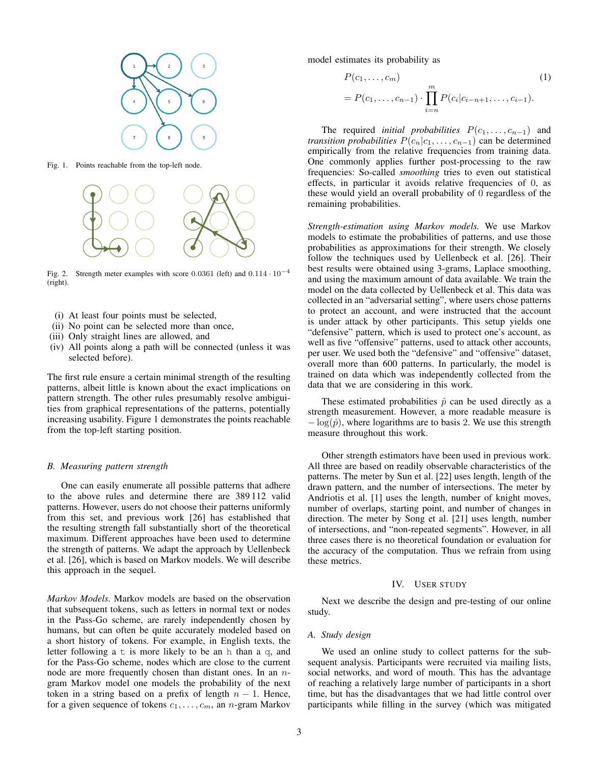

Fig. 1. Points reachable from the top-left node.



Fig. 2. Strength meter examples with score 0.0361 (left) and  $0.114 \cdot 10^{-4}$ (right).

- (i) At least four points must be selected,
- (ii) No point can be selected more than once,
- (iii) Only straight lines are allowed, and
- (iv) All points along a path will be connected (unless it was selected before).

The first rule ensure a certain minimal strength of the resulting patterns, albeit little is known about the exact implications on pattern strength. The other rules presumably resolve ambiguities from graphical representations of the patterns, potentially increasing usability. Figure 1 demonstrates the points reachable from the top-left starting position.

# *B. Measuring pattern strength*

One can easily enumerate all possible patterns that adhere to the above rules and determine there are 389 112 valid patterns. However, users do not choose their patterns uniformly from this set, and previous work [26] has established that the resulting strength fall substantially short of the theoretical maximum. Different approaches have been used to determine the strength of patterns. We adapt the approach by Uellenbeck et al. [26], which is based on Markov models. We will describe this approach in the sequel.

*Markov Models.* Markov models are based on the observation that subsequent tokens, such as letters in normal text or nodes in the Pass-Go scheme, are rarely independently chosen by humans, but can often be quite accurately modeled based on a short history of tokens. For example, in English texts, the letter following a  $t$  is more likely to be an h than a  $q$ , and for the Pass-Go scheme, nodes which are close to the current node are more frequently chosen than distant ones. In an ngram Markov model one models the probability of the next token in a string based on a prefix of length  $n - 1$ . Hence, for a given sequence of tokens  $c_1, \ldots, c_m$ , an n-gram Markov

model estimates its probability as

$$
P(c_1, ..., c_m)
$$
  
=  $P(c_1, ..., c_{n-1}) \cdot \prod_{i=n}^{m} P(c_i|c_{i-n+1}, ..., c_{i-1}).$  (1)

The required *initial probabilities*  $P(c_1, \ldots, c_{n-1})$  and *transition probabilities*  $P(c_n|c_1,\ldots,c_{n-1})$  can be determined empirically from the relative frequencies from training data. One commonly applies further post-processing to the raw frequencies: So-called *smoothing* tries to even out statistical effects, in particular it avoids relative frequencies of 0, as these would yield an overall probability of 0 regardless of the remaining probabilities.

*Strength-estimation using Markov models.* We use Markov models to estimate the probabilities of patterns, and use those probabilities as approximations for their strength. We closely follow the techniques used by Uellenbeck et al. [26]. Their best results were obtained using 3-grams, Laplace smoothing, and using the maximum amount of data available. We train the model on the data collected by Uellenbeck et al. This data was collected in an "adversarial setting", where users chose patterns to protect an account, and were instructed that the account is under attack by other participants. This setup yields one "defensive" pattern, which is used to protect one's account, as well as five "offensive" patterns, used to attack other accounts, per user. We used both the "defensive" and "offensive" dataset, overall more than 600 patterns. In particularly, the model is trained on data which was independently collected from the data that we are considering in this work.

These estimated probabilities  $\hat{p}$  can be used directly as a strength measurement. However, a more readable measure is  $-\log(\hat{p})$ , where logarithms are to basis 2. We use this strength measure throughout this work.

Other strength estimators have been used in previous work. All three are based on readily observable characteristics of the patterns. The meter by Sun et al. [22] uses length, length of the drawn pattern, and the number of intersections. The meter by Andriotis et al. [1] uses the length, number of knight moves, number of overlaps, starting point, and number of changes in direction. The meter by Song et al. [21] uses length, number of intersections, and "non-repeated segments". However, in all three cases there is no theoretical foundation or evaluation for the accuracy of the computation. Thus we refrain from using these metrics.

### IV. USER STUDY

Next we describe the design and pre-testing of our online study.

#### *A. Study design*

We used an online study to collect patterns for the subsequent analysis. Participants were recruited via mailing lists, social networks, and word of mouth. This has the advantage of reaching a relatively large number of participants in a short time, but has the disadvantages that we had little control over participants while filling in the survey (which was mitigated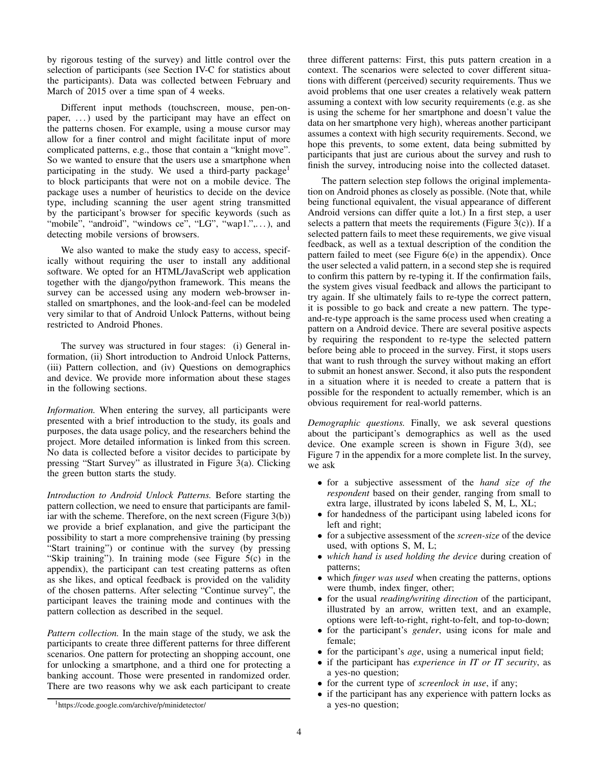by rigorous testing of the survey) and little control over the selection of participants (see Section IV-C for statistics about the participants). Data was collected between February and March of 2015 over a time span of 4 weeks.

Different input methods (touchscreen, mouse, pen-onpaper, ...) used by the participant may have an effect on the patterns chosen. For example, using a mouse cursor may allow for a finer control and might facilitate input of more complicated patterns, e.g., those that contain a "knight move". So we wanted to ensure that the users use a smartphone when participating in the study. We used a third-party package<sup>1</sup> to block participants that were not on a mobile device. The package uses a number of heuristics to decide on the device type, including scanning the user agent string transmitted by the participant's browser for specific keywords (such as "mobile", "android", "windows ce", "LG", "wap1.",...), and detecting mobile versions of browsers.

We also wanted to make the study easy to access, specifically without requiring the user to install any additional software. We opted for an HTML/JavaScript web application together with the django/python framework. This means the survey can be accessed using any modern web-browser installed on smartphones, and the look-and-feel can be modeled very similar to that of Android Unlock Patterns, without being restricted to Android Phones.

The survey was structured in four stages: (i) General information, (ii) Short introduction to Android Unlock Patterns, (iii) Pattern collection, and (iv) Questions on demographics and device. We provide more information about these stages in the following sections.

*Information.* When entering the survey, all participants were presented with a brief introduction to the study, its goals and purposes, the data usage policy, and the researchers behind the project. More detailed information is linked from this screen. No data is collected before a visitor decides to participate by pressing "Start Survey" as illustrated in Figure 3(a). Clicking the green button starts the study.

*Introduction to Android Unlock Patterns.* Before starting the pattern collection, we need to ensure that participants are familiar with the scheme. Therefore, on the next screen (Figure 3(b)) we provide a brief explanation, and give the participant the possibility to start a more comprehensive training (by pressing "Start training") or continue with the survey (by pressing "Skip training"). In training mode (see Figure 5(c) in the appendix), the participant can test creating patterns as often as she likes, and optical feedback is provided on the validity of the chosen patterns. After selecting "Continue survey", the participant leaves the training mode and continues with the pattern collection as described in the sequel.

*Pattern collection.* In the main stage of the study, we ask the participants to create three different patterns for three different scenarios. One pattern for protecting an shopping account, one for unlocking a smartphone, and a third one for protecting a banking account. Those were presented in randomized order. There are two reasons why we ask each participant to create three different patterns: First, this puts pattern creation in a context. The scenarios were selected to cover different situations with different (perceived) security requirements. Thus we avoid problems that one user creates a relatively weak pattern assuming a context with low security requirements (e.g. as she is using the scheme for her smartphone and doesn't value the data on her smartphone very high), whereas another participant assumes a context with high security requirements. Second, we hope this prevents, to some extent, data being submitted by participants that just are curious about the survey and rush to finish the survey, introducing noise into the collected dataset.

The pattern selection step follows the original implementation on Android phones as closely as possible. (Note that, while being functional equivalent, the visual appearance of different Android versions can differ quite a lot.) In a first step, a user selects a pattern that meets the requirements (Figure  $3(c)$ ). If a selected pattern fails to meet these requirements, we give visual feedback, as well as a textual description of the condition the pattern failed to meet (see Figure 6(e) in the appendix). Once the user selected a valid pattern, in a second step she is required to confirm this pattern by re-typing it. If the confirmation fails, the system gives visual feedback and allows the participant to try again. If she ultimately fails to re-type the correct pattern, it is possible to go back and create a new pattern. The typeand-re-type approach is the same process used when creating a pattern on a Android device. There are several positive aspects by requiring the respondent to re-type the selected pattern before being able to proceed in the survey. First, it stops users that want to rush through the survey without making an effort to submit an honest answer. Second, it also puts the respondent in a situation where it is needed to create a pattern that is possible for the respondent to actually remember, which is an obvious requirement for real-world patterns.

*Demographic questions.* Finally, we ask several questions about the participant's demographics as well as the used device. One example screen is shown in Figure 3(d), see Figure 7 in the appendix for a more complete list. In the survey, we ask

- for a subjective assessment of the *hand size of the respondent* based on their gender, ranging from small to extra large, illustrated by icons labeled S, M, L, XL;
- for handedness of the participant using labeled icons for left and right;
- for a subjective assessment of the *screen-size* of the device used, with options S, M, L;
- *which hand is used holding the device* during creation of patterns;
- which *finger was used* when creating the patterns, options were thumb, index finger, other;
- for the usual *reading/writing direction* of the participant, illustrated by an arrow, written text, and an example, options were left-to-right, right-to-felt, and top-to-down;
- for the participant's *gender*, using icons for male and female;
- for the participant's *age*, using a numerical input field;
- if the participant has *experience in IT or IT security*, as a yes-no question;
- for the current type of *screenlock in use*, if any;
- if the participant has any experience with pattern locks as a yes-no question;

<sup>1</sup>https://code.google.com/archive/p/minidetector/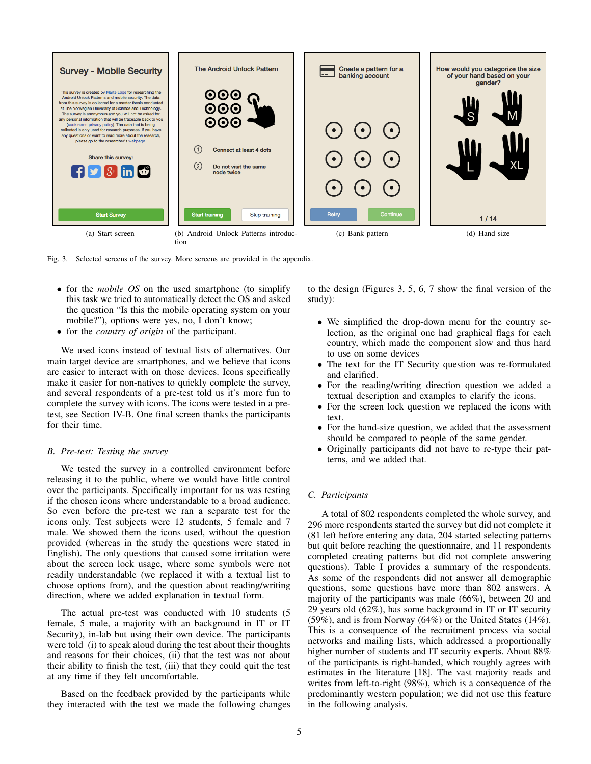

Fig. 3. Selected screens of the survey. More screens are provided in the appendix.

- for the *mobile OS* on the used smartphone (to simplify this task we tried to automatically detect the OS and asked the question "Is this the mobile operating system on your mobile?"), options were yes, no, I don't know;
- for the *country of origin* of the participant.

We used icons instead of textual lists of alternatives. Our main target device are smartphones, and we believe that icons are easier to interact with on those devices. Icons specifically make it easier for non-natives to quickly complete the survey, and several respondents of a pre-test told us it's more fun to complete the survey with icons. The icons were tested in a pretest, see Section IV-B. One final screen thanks the participants for their time.

# *B. Pre-test: Testing the survey*

We tested the survey in a controlled environment before releasing it to the public, where we would have little control over the participants. Specifically important for us was testing if the chosen icons where understandable to a broad audience. So even before the pre-test we ran a separate test for the icons only. Test subjects were 12 students, 5 female and 7 male. We showed them the icons used, without the question provided (whereas in the study the questions were stated in English). The only questions that caused some irritation were about the screen lock usage, where some symbols were not readily understandable (we replaced it with a textual list to choose options from), and the question about reading/writing direction, where we added explanation in textual form.

The actual pre-test was conducted with 10 students (5 female, 5 male, a majority with an background in IT or IT Security), in-lab but using their own device. The participants were told (i) to speak aloud during the test about their thoughts and reasons for their choices, (ii) that the test was not about their ability to finish the test, (iii) that they could quit the test at any time if they felt uncomfortable.

Based on the feedback provided by the participants while they interacted with the test we made the following changes to the design (Figures 3, 5, 6, 7 show the final version of the study):

- We simplified the drop-down menu for the country selection, as the original one had graphical flags for each country, which made the component slow and thus hard to use on some devices
- The text for the IT Security question was re-formulated and clarified.
- For the reading/writing direction question we added a textual description and examples to clarify the icons.
- For the screen lock question we replaced the icons with text.
- For the hand-size question, we added that the assessment should be compared to people of the same gender.
- Originally participants did not have to re-type their patterns, and we added that.

# *C. Participants*

A total of 802 respondents completed the whole survey, and 296 more respondents started the survey but did not complete it (81 left before entering any data, 204 started selecting patterns but quit before reaching the questionnaire, and 11 respondents completed creating patterns but did not complete answering questions). Table I provides a summary of the respondents. As some of the respondents did not answer all demographic questions, some questions have more than 802 answers. A majority of the participants was male (66%), between 20 and 29 years old (62%), has some background in IT or IT security (59%), and is from Norway (64%) or the United States (14%). This is a consequence of the recruitment process via social networks and mailing lists, which addressed a proportionally higher number of students and IT security experts. About 88% of the participants is right-handed, which roughly agrees with estimates in the literature [18]. The vast majority reads and writes from left-to-right (98%), which is a consequence of the predominantly western population; we did not use this feature in the following analysis.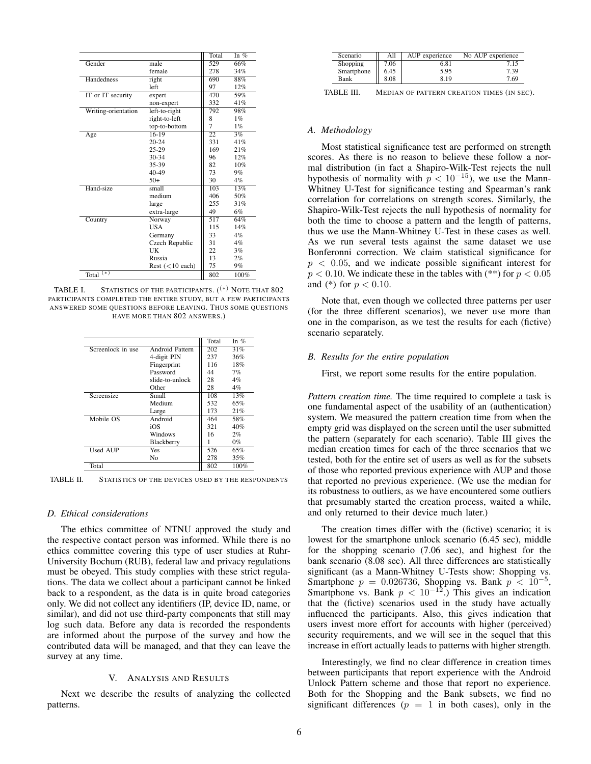|                        |                   | Total          | In $%$ |
|------------------------|-------------------|----------------|--------|
| Gender                 | male              | 529            | 66%    |
|                        | female            | 278            | 34%    |
| Handedness             | right             | 690            | 88%    |
|                        | left              | 97             | 12%    |
| IT or IT security      | expert            | 470            | 59%    |
|                        | non-expert        | 332            | 41%    |
| Writing-orientation    | $left-to-right$   | 792            | 98%    |
|                        | right-to-left     | 8              | $1\%$  |
|                        | top-to-bottom     | $\overline{7}$ | $1\%$  |
| Age                    | $16-19$           | 22             | 3%     |
|                        | $20 - 24$         | 331            | 41%    |
|                        | $25-29$           | 169            | 21%    |
|                        | $30 - 34$         | 96             | 12%    |
|                        | 35-39             | 82             | 10%    |
|                        | 40-49             | 73             | 9%     |
|                        | $50+$             | 30             | $4\%$  |
| Hand-size              | small             | 103            | 13%    |
|                        | medium            | 406            | 50%    |
|                        | large             | 255            | 31%    |
|                        | extra-large       | 49             | 6%     |
| Country                | Norway            | 517            | 64%    |
|                        | USA               | 115            | 14%    |
|                        | Germany           | 33             | $4\%$  |
|                        | Czech Republic    | 31             | $4\%$  |
|                        | UK                | 22             | 3%     |
|                        | Russia            | 13             | 2%     |
|                        | Rest $(<10$ each) | 75             | 9%     |
| Total $\overline{(*)}$ |                   | 802            | 100%   |

TABLE I. STATISTICS OF THE PARTICIPANTS.  $($ <sup>(\*)</sup> NOTE THAT 802 PARTICIPANTS COMPLETED THE ENTIRE STUDY, BUT A FEW PARTICIPANTS ANSWERED SOME QUESTIONS BEFORE LEAVING. THUS SOME QUESTIONS HAVE MORE THAN 802 ANSWERS.)

|                   |                 | Total | In $%$ |
|-------------------|-----------------|-------|--------|
| Screenlock in use | Android Pattern | 202   | 31%    |
|                   | 4-digit PIN     | 237   | 36%    |
|                   | Fingerprint     | 116   | 18%    |
|                   | Password        | 44    | 7%     |
|                   | slide-to-unlock | 28    | $4\%$  |
|                   | Other           | 28    | $4\%$  |
| Screensize        | Small           | 108   | 13%    |
|                   | Medium          | 532   | 65%    |
|                   | Large           | 173   | 21%    |
| Mobile OS         | Android         | 464   | 58%    |
|                   | iOS             | 321   | 40%    |
|                   | Windows         | 16    | 2%     |
|                   | Blackberry      |       | $0\%$  |
| <b>Used AUP</b>   | Yes             | 526   | 65%    |
|                   | No              | 278   | 35%    |
| Total             |                 | 802   | 100%   |

TABLE II. STATISTICS OF THE DEVICES USED BY THE RESPONDENTS

#### *D. Ethical considerations*

The ethics committee of NTNU approved the study and the respective contact person was informed. While there is no ethics committee covering this type of user studies at Ruhr-University Bochum (RUB), federal law and privacy regulations must be obeyed. This study complies with these strict regulations. The data we collect about a participant cannot be linked back to a respondent, as the data is in quite broad categories only. We did not collect any identifiers (IP, device ID, name, or similar), and did not use third-party components that still may log such data. Before any data is recorded the respondents are informed about the purpose of the survey and how the contributed data will be managed, and that they can leave the survey at any time.

#### V. ANALYSIS AND RESULTS

Next we describe the results of analyzing the collected patterns.

| Scenario   | All  | AUP experience | No AUP experience |
|------------|------|----------------|-------------------|
| Shopping   | 7.06 | 6.81           | 7.15              |
| Smartphone | 6.45 | 5.95           | 7.39              |
| Bank       | 8.08 | 8.19           | 7.69              |

TABLE III. MEDIAN OF PATTERN CREATION TIMES (IN SEC).

#### *A. Methodology*

Most statistical significance test are performed on strength scores. As there is no reason to believe these follow a normal distribution (in fact a Shapiro-Wilk-Test rejects the null hypothesis of normality with  $p < 10^{-15}$ ), we use the Mann-Whitney U-Test for significance testing and Spearman's rank correlation for correlations on strength scores. Similarly, the Shapiro-Wilk-Test rejects the null hypothesis of normality for both the time to choose a pattern and the length of patterns, thus we use the Mann-Whitney U-Test in these cases as well. As we run several tests against the same dataset we use Bonferonni correction. We claim statistical significance for  $p < 0.05$ , and we indicate possible significant interest for  $p < 0.10$ . We indicate these in the tables with (\*\*) for  $p < 0.05$ and (\*) for  $p < 0.10$ .

Note that, even though we collected three patterns per user (for the three different scenarios), we never use more than one in the comparison, as we test the results for each (fictive) scenario separately.

# *B. Results for the entire population*

First, we report some results for the entire population.

*Pattern creation time.* The time required to complete a task is one fundamental aspect of the usability of an (authentication) system. We measured the pattern creation time from when the empty grid was displayed on the screen until the user submitted the pattern (separately for each scenario). Table III gives the median creation times for each of the three scenarios that we tested, both for the entire set of users as well as for the subsets of those who reported previous experience with AUP and those that reported no previous experience. (We use the median for its robustness to outliers, as we have encountered some outliers that presumably started the creation process, waited a while, and only returned to their device much later.)

The creation times differ with the (fictive) scenario; it is lowest for the smartphone unlock scenario (6.45 sec), middle for the shopping scenario (7.06 sec), and highest for the bank scenario (8.08 sec). All three differences are statistically significant (as a Mann-Whitney U-Tests show: Shopping vs. Smartphone  $p = 0.026736$ , Shopping vs. Bank  $p < 10^{-5}$ , Smartphone vs. Bank  $p < 10^{-12}$ .) This gives an indication that the (fictive) scenarios used in the study have actually influenced the participants. Also, this gives indication that users invest more effort for accounts with higher (perceived) security requirements, and we will see in the sequel that this increase in effort actually leads to patterns with higher strength.

Interestingly, we find no clear difference in creation times between participants that report experience with the Android Unlock Pattern scheme and those that report no experience. Both for the Shopping and the Bank subsets, we find no significant differences ( $p = 1$  in both cases), only in the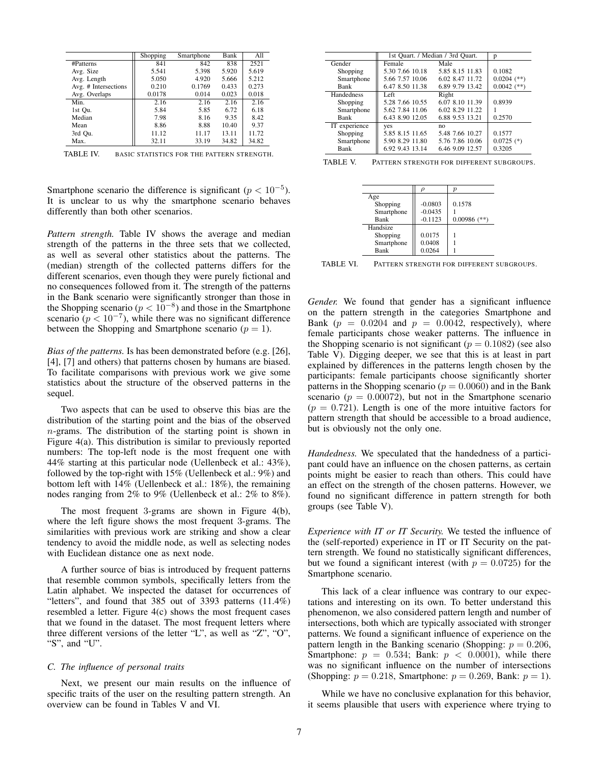|                      | Shopping | Smartphone | Bank  | All   |
|----------------------|----------|------------|-------|-------|
| #Patterns            | 841      | 842        | 838   | 2521  |
| Avg. Size            | 5.541    | 5.398      | 5.920 | 5.619 |
| Avg. Length          | 5.050    | 4.920      | 5.666 | 5.212 |
| Avg. # Intersections | 0.210    | 0.1769     | 0.433 | 0.273 |
| Avg. Overlaps        | 0.0178   | 0.014      | 0.023 | 0.018 |
| Min.                 | 2.16     | 2.16       | 2.16  | 2.16  |
| 1st Ou.              | 5.84     | 5.85       | 6.72  | 6.18  |
| Median               | 7.98     | 8.16       | 9.35  | 8.42  |
| Mean                 | 8.86     | 8.88       | 10.40 | 9.37  |
| 3rd Ou.              | 11.12    | 11.17      | 13.11 | 11.72 |
| Max.                 | 32.11    | 33.19      | 34.82 | 34.82 |

TABLE IV. BASIC STATISTICS FOR THE PATTERN STRENGTH.

Smartphone scenario the difference is significant  $(p < 10^{-5})$ . It is unclear to us why the smartphone scenario behaves differently than both other scenarios.

*Pattern strength.* Table IV shows the average and median strength of the patterns in the three sets that we collected, as well as several other statistics about the patterns. The (median) strength of the collected patterns differs for the different scenarios, even though they were purely fictional and no consequences followed from it. The strength of the patterns in the Bank scenario were significantly stronger than those in the Shopping scenario ( $p < 10^{-8}$ ) and those in the Smartphone scenario ( $p < 10^{-7}$ ), while there was no significant difference between the Shopping and Smartphone scenario ( $p = 1$ ).

*Bias of the patterns.* Is has been demonstrated before (e.g. [26], [4], [7] and others) that patterns chosen by humans are biased. To facilitate comparisons with previous work we give some statistics about the structure of the observed patterns in the sequel.

Two aspects that can be used to observe this bias are the distribution of the starting point and the bias of the observed n-grams. The distribution of the starting point is shown in Figure 4(a). This distribution is similar to previously reported numbers: The top-left node is the most frequent one with 44% starting at this particular node (Uellenbeck et al.: 43%), followed by the top-right with 15% (Uellenbeck et al.: 9%) and bottom left with 14% (Uellenbeck et al.: 18%), the remaining nodes ranging from 2% to 9% (Uellenbeck et al.: 2% to 8%).

The most frequent 3-grams are shown in Figure 4(b), where the left figure shows the most frequent 3-grams. The similarities with previous work are striking and show a clear tendency to avoid the middle node, as well as selecting nodes with Euclidean distance one as next node.

A further source of bias is introduced by frequent patterns that resemble common symbols, specifically letters from the Latin alphabet. We inspected the dataset for occurrences of "letters", and found that 385 out of 3393 patterns (11.4%) resembled a letter. Figure 4(c) shows the most frequent cases that we found in the dataset. The most frequent letters where three different versions of the letter "L", as well as "Z", "O", "S", and "U".

#### *C. The influence of personal traits*

Next, we present our main results on the influence of specific traits of the user on the resulting pattern strength. An overview can be found in Tables V and VI.

|                 |                 | p                                |
|-----------------|-----------------|----------------------------------|
| Female          | Male            |                                  |
| 5.30 7.66 10.18 | 5.85 8.15 11.83 | 0.1082                           |
| 5.66 7.57 10.06 | 6.02 8.47 11.72 | $0.0204$ (**)                    |
| 6.47 8.50 11.38 | 6.89 9.79 13.42 | $0.0042$ (**)                    |
| Left            | Right           |                                  |
| 5.28 7.66 10.55 | 6.07 8.10 11.39 | 0.8939                           |
| 5.62 7.84 11.06 | 6.02 8.29 11.22 |                                  |
| 6.43 8.90 12.05 | 6.88 9.53 13.21 | 0.2570                           |
| yes             | no              |                                  |
| 5.85 8.15 11.65 | 5.48 7.66 10.27 | 0.1577                           |
| 5.90 8.29 11.80 | 5.76 7.86 10.06 | $0.0725$ (*)                     |
| 6.92 9.43 13.14 | 6.46 9.09 12.57 | 0.3205                           |
|                 |                 | 1st Quart. / Median / 3rd Quart. |

TABLE V. PATTERN STRENGTH FOR DIFFERENT SUBGROUPS.

|            |           | р              |
|------------|-----------|----------------|
| Age        |           |                |
| Shopping   | $-0.0803$ | 0.1578         |
| Smartphone | $-0.0435$ |                |
| Bank       | $-0.1123$ | $0.00986$ (**) |
| Handsize   |           |                |
| Shopping   | 0.0175    |                |
| Smartphone | 0.0408    |                |
| Bank       | 0.0264    |                |

TABLE VI. PATTERN STRENGTH FOR DIFFERENT SUBGROUPS.

*Gender.* We found that gender has a significant influence on the pattern strength in the categories Smartphone and Bank ( $p = 0.0204$  and  $p = 0.0042$ , respectively), where female participants chose weaker patterns. The influence in the Shopping scenario is not significant ( $p = 0.1082$ ) (see also Table V). Digging deeper, we see that this is at least in part explained by differences in the patterns length chosen by the participants: female participants choose significantly shorter patterns in the Shopping scenario ( $p = 0.0060$ ) and in the Bank scenario ( $p = 0.00072$ ), but not in the Smartphone scenario  $(p = 0.721)$ . Length is one of the more intuitive factors for pattern strength that should be accessible to a broad audience, but is obviously not the only one.

*Handedness.* We speculated that the handedness of a participant could have an influence on the chosen patterns, as certain points might be easier to reach than others. This could have an effect on the strength of the chosen patterns. However, we found no significant difference in pattern strength for both groups (see Table V).

*Experience with IT or IT Security.* We tested the influence of the (self-reported) experience in IT or IT Security on the pattern strength. We found no statistically significant differences, but we found a significant interest (with  $p = 0.0725$ ) for the Smartphone scenario.

This lack of a clear influence was contrary to our expectations and interesting on its own. To better understand this phenomenon, we also considered pattern length and number of intersections, both which are typically associated with stronger patterns. We found a significant influence of experience on the pattern length in the Banking scenario (Shopping:  $p = 0.206$ , Smartphone:  $p = 0.534$ ; Bank:  $p < 0.0001$ ), while there was no significant influence on the number of intersections (Shopping:  $p = 0.218$ , Smartphone:  $p = 0.269$ , Bank:  $p = 1$ ).

While we have no conclusive explanation for this behavior, it seems plausible that users with experience where trying to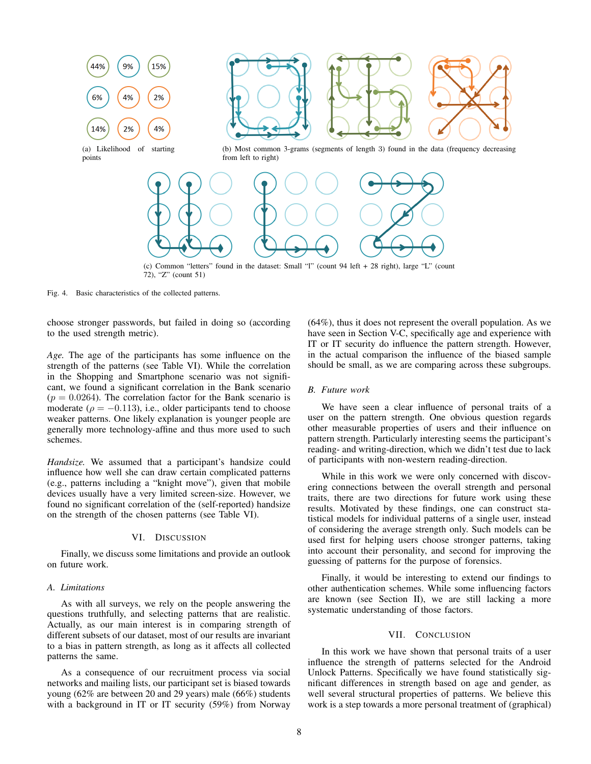

Fig. 4. Basic characteristics of the collected patterns.

choose stronger passwords, but failed in doing so (according to the used strength metric).

*Age.* The age of the participants has some influence on the strength of the patterns (see Table VI). While the correlation in the Shopping and Smartphone scenario was not significant, we found a significant correlation in the Bank scenario  $(p = 0.0264)$ . The correlation factor for the Bank scenario is moderate ( $\rho = -0.113$ ), i.e., older participants tend to choose weaker patterns. One likely explanation is younger people are generally more technology-affine and thus more used to such schemes.

*Handsize.* We assumed that a participant's handsize could influence how well she can draw certain complicated patterns (e.g., patterns including a "knight move"), given that mobile devices usually have a very limited screen-size. However, we found no significant correlation of the (self-reported) handsize on the strength of the chosen patterns (see Table VI).

#### VI. DISCUSSION

Finally, we discuss some limitations and provide an outlook on future work.

# *A. Limitations*

As with all surveys, we rely on the people answering the questions truthfully, and selecting patterns that are realistic. Actually, as our main interest is in comparing strength of different subsets of our dataset, most of our results are invariant to a bias in pattern strength, as long as it affects all collected patterns the same.

As a consequence of our recruitment process via social networks and mailing lists, our participant set is biased towards young (62% are between 20 and 29 years) male (66%) students with a background in IT or IT security (59%) from Norway (64%), thus it does not represent the overall population. As we have seen in Section V-C, specifically age and experience with IT or IT security do influence the pattern strength. However, in the actual comparison the influence of the biased sample should be small, as we are comparing across these subgroups.

#### *B. Future work*

We have seen a clear influence of personal traits of a user on the pattern strength. One obvious question regards other measurable properties of users and their influence on pattern strength. Particularly interesting seems the participant's reading- and writing-direction, which we didn't test due to lack of participants with non-western reading-direction.

While in this work we were only concerned with discovering connections between the overall strength and personal traits, there are two directions for future work using these results. Motivated by these findings, one can construct statistical models for individual patterns of a single user, instead of considering the average strength only. Such models can be used first for helping users choose stronger patterns, taking into account their personality, and second for improving the guessing of patterns for the purpose of forensics.

Finally, it would be interesting to extend our findings to other authentication schemes. While some influencing factors are known (see Section II), we are still lacking a more systematic understanding of those factors.

# VII. CONCLUSION

In this work we have shown that personal traits of a user influence the strength of patterns selected for the Android Unlock Patterns. Specifically we have found statistically significant differences in strength based on age and gender, as well several structural properties of patterns. We believe this work is a step towards a more personal treatment of (graphical)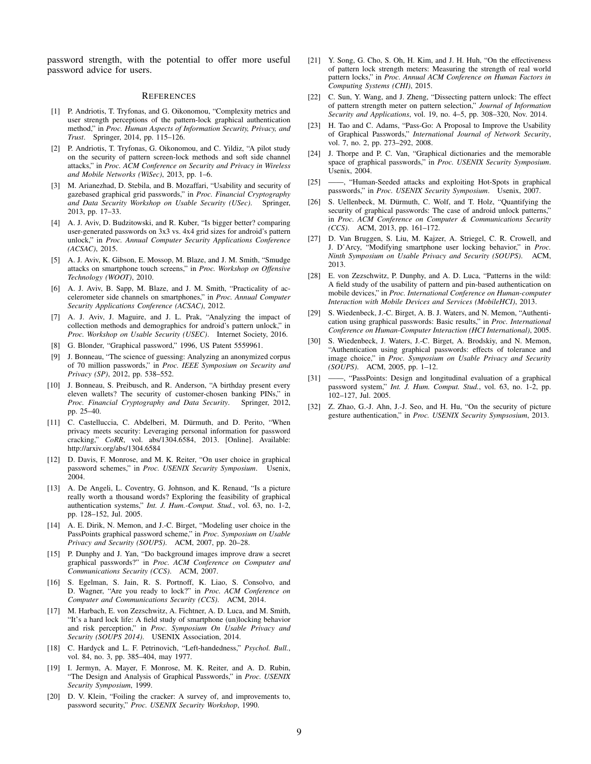password strength, with the potential to offer more useful password advice for users.

#### **REFERENCES**

- [1] P. Andriotis, T. Tryfonas, and G. Oikonomou, "Complexity metrics and user strength perceptions of the pattern-lock graphical authentication method," in *Proc. Human Aspects of Information Security, Privacy, and Trust*. Springer, 2014, pp. 115–126.
- [2] P. Andriotis, T. Tryfonas, G. Oikonomou, and C. Yildiz, "A pilot study on the security of pattern screen-lock methods and soft side channel attacks," in *Proc. ACM Conference on Security and Privacy in Wireless and Mobile Networks (WiSec)*, 2013, pp. 1–6.
- [3] M. Arianezhad, D. Stebila, and B. Mozaffari, "Usability and security of gazebased graphical grid passwords," in *Proc. Financial Cryptography and Data Security Workshop on Usable Security (USec)*. Springer, 2013, pp. 17–33.
- [4] A. J. Aviv, D. Budzitowski, and R. Kuber, "Is bigger better? comparing user-generated passwords on 3x3 vs. 4x4 grid sizes for android's pattern unlock," in *Proc. Annual Computer Security Applications Conference (ACSAC)*, 2015.
- [5] A. J. Aviv, K. Gibson, E. Mossop, M. Blaze, and J. M. Smith, "Smudge attacks on smartphone touch screens," in *Proc. Workshop on Offensive Technology (WOOT)*, 2010.
- [6] A. J. Aviv, B. Sapp, M. Blaze, and J. M. Smith, "Practicality of accelerometer side channels on smartphones," in *Proc. Annual Computer Security Applications Conference (ACSAC)*, 2012.
- [7] A. J. Aviv, J. Maguire, and J. L. Prak, "Analyzing the impact of collection methods and demographics for android's pattern unlock," in *Proc. Workshop on Usable Security (USEC)*. Internet Society, 2016.
- [8] G. Blonder, "Graphical password," 1996, US Patent 5559961.
- [9] J. Bonneau, "The science of guessing: Analyzing an anonymized corpus of 70 million passwords," in *Proc. IEEE Symposium on Security and Privacy (SP)*, 2012, pp. 538–552.
- [10] J. Bonneau, S. Preibusch, and R. Anderson, "A birthday present every eleven wallets? The security of customer-chosen banking PINs," in *Proc. Financial Cryptography and Data Security*. Springer, 2012, pp. 25–40.
- [11] C. Castelluccia, C. Abdelberi, M. Dürmuth, and D. Perito, "When privacy meets security: Leveraging personal information for password cracking," *CoRR*, vol. abs/1304.6584, 2013. [Online]. Available: http://arxiv.org/abs/1304.6584
- [12] D. Davis, F. Monrose, and M. K. Reiter, "On user choice in graphical password schemes," in *Proc. USENIX Security Symposium*. Usenix, 2004.
- [13] A. De Angeli, L. Coventry, G. Johnson, and K. Renaud, "Is a picture really worth a thousand words? Exploring the feasibility of graphical authentication systems," *Int. J. Hum.-Comput. Stud.*, vol. 63, no. 1-2, pp. 128–152, Jul. 2005.
- [14] A. E. Dirik, N. Memon, and J.-C. Birget, "Modeling user choice in the PassPoints graphical password scheme," in *Proc. Symposium on Usable Privacy and Security (SOUPS)*. ACM, 2007, pp. 20–28.
- [15] P. Dunphy and J. Yan, "Do background images improve draw a secret graphical passwords?" in *Proc. ACM Conference on Computer and Communications Security (CCS)*. ACM, 2007.
- [16] S. Egelman, S. Jain, R. S. Portnoff, K. Liao, S. Consolvo, and D. Wagner, "Are you ready to lock?" in *Proc. ACM Conference on Computer and Communications Security (CCS)*. ACM, 2014.
- [17] M. Harbach, E. von Zezschwitz, A. Fichtner, A. D. Luca, and M. Smith, "It's a hard lock life: A field study of smartphone (un)locking behavior and risk perception," in *Proc. Symposium On Usable Privacy and Security (SOUPS 2014)*. USENIX Association, 2014.
- [18] C. Hardyck and L. F. Petrinovich, "Left-handedness," *Psychol. Bull.*, vol. 84, no. 3, pp. 385–404, may 1977.
- [19] I. Jermyn, A. Mayer, F. Monrose, M. K. Reiter, and A. D. Rubin, "The Design and Analysis of Graphical Passwords," in *Proc. USENIX Security Symposium*, 1999.
- [20] D. V. Klein, "Foiling the cracker: A survey of, and improvements to, password security," *Proc. USENIX Security Workshop*, 1990.
- [21] Y. Song, G. Cho, S. Oh, H. Kim, and J. H. Huh, "On the effectiveness of pattern lock strength meters: Measuring the strength of real world pattern locks," in *Proc. Annual ACM Conference on Human Factors in Computing Systems (CHI)*, 2015.
- [22] C. Sun, Y. Wang, and J. Zheng, "Dissecting pattern unlock: The effect of pattern strength meter on pattern selection," *Journal of Information Security and Applications*, vol. 19, no. 4–5, pp. 308–320, Nov. 2014.
- [23] H. Tao and C. Adams, "Pass-Go: A Proposal to Improve the Usability of Graphical Passwords," *International Journal of Network Security*, vol. 7, no. 2, pp. 273–292, 2008.
- [24] J. Thorpe and P. C. Van, "Graphical dictionaries and the memorable space of graphical passwords," in *Proc. USENIX Security Symposium*. Usenix, 2004.
- [25] ——, "Human-Seeded attacks and exploiting Hot-Spots in graphical passwords," in *Proc. USENIX Security Symposium*. Usenix, 2007.
- [26] S. Uellenbeck, M. Dürmuth, C. Wolf, and T. Holz, "Quantifying the security of graphical passwords: The case of android unlock patterns," in *Proc. ACM Conference on Computer & Communications Security (CCS)*. ACM, 2013, pp. 161–172.
- [27] D. Van Bruggen, S. Liu, M. Kajzer, A. Striegel, C. R. Crowell, and J. D'Arcy, "Modifying smartphone user locking behavior," in *Proc. Ninth Symposium on Usable Privacy and Security (SOUPS)*. ACM, 2013.
- [28] E. von Zezschwitz, P. Dunphy, and A. D. Luca, "Patterns in the wild: A field study of the usability of pattern and pin-based authentication on mobile devices," in *Proc. International Conference on Human-computer Interaction with Mobile Devices and Services (MobileHCI)*, 2013.
- [29] S. Wiedenbeck, J.-C. Birget, A. B. J. Waters, and N. Memon, "Authentication using graphical passwords: Basic results," in *Proc. International Conference on Human-Computer Interaction (HCI International)*, 2005.
- [30] S. Wiedenbeck, J. Waters, J.-C. Birget, A. Brodskiy, and N. Memon, "Authentication using graphical passwords: effects of tolerance and image choice," in *Proc. Symposium on Usable Privacy and Security (SOUPS)*. ACM, 2005, pp. 1–12.
- [31] ——, "PassPoints: Design and longitudinal evaluation of a graphical password system," *Int. J. Hum. Comput. Stud.*, vol. 63, no. 1-2, pp. 102–127, Jul. 2005.
- [32] Z. Zhao, G.-J. Ahn, J.-J. Seo, and H. Hu, "On the security of picture gesture authentication," in *Proc. USENIX Security Sympsosium*, 2013.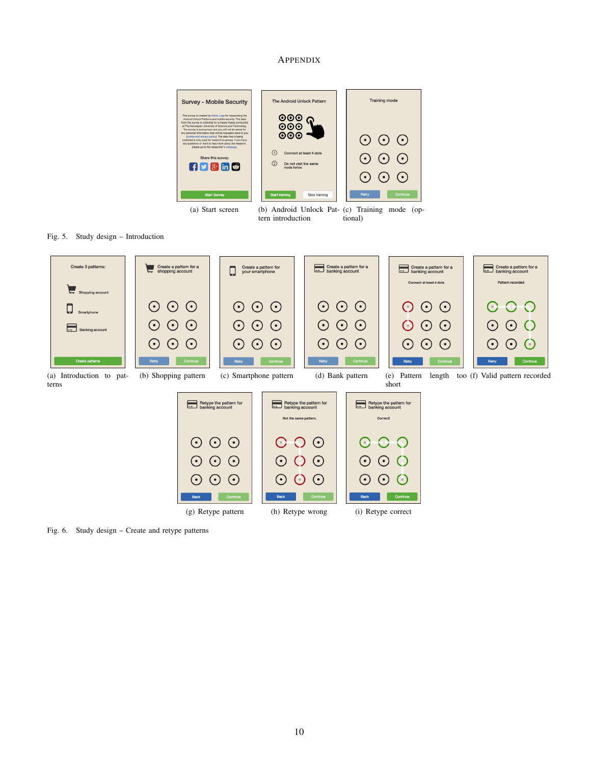# APPENDIX



Fig. 5. Study design – Introduction